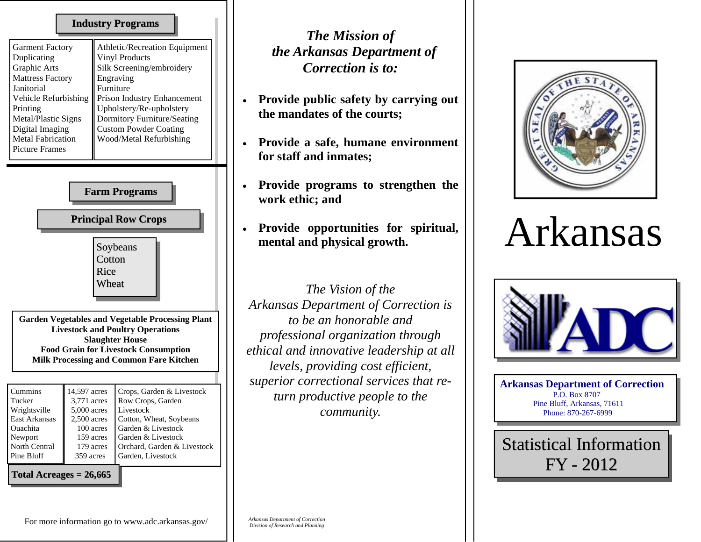## **Industry Programs Industry Programs**

| <b>Farm Programs</b>                                                                                                                                                                                                          |                                                                                                                 |                                                                                                                                                                                        |  |  |  |  |
|-------------------------------------------------------------------------------------------------------------------------------------------------------------------------------------------------------------------------------|-----------------------------------------------------------------------------------------------------------------|----------------------------------------------------------------------------------------------------------------------------------------------------------------------------------------|--|--|--|--|
| <b>Principal Row Crops</b>                                                                                                                                                                                                    |                                                                                                                 |                                                                                                                                                                                        |  |  |  |  |
| Soybeans<br>Cotton<br>Rice<br>Wheat                                                                                                                                                                                           |                                                                                                                 |                                                                                                                                                                                        |  |  |  |  |
| <b>Garden Vegetables and Vegetable Processing Plant</b><br><b>Livestock and Poultry Operations</b><br><b>Slaughter House</b><br><b>Food Grain for Livestock Consumption</b><br><b>Milk Processing and Common Fare Kitchen</b> |                                                                                                                 |                                                                                                                                                                                        |  |  |  |  |
| Cummins<br>Tucker<br>Wrightsville<br>East Arkansas<br><b>Ouachita</b><br>Newport<br>North Central<br>Pine Bluff                                                                                                               | 14,597 acres<br>3,771 acres<br>5,000 acres<br>$2,500$ acres<br>100 acres<br>159 acres<br>179 acres<br>359 acres | Crops, Garden & Livestock<br>Row Crops, Garden<br>Livestock<br>Cotton, Wheat, Soybeans<br>Garden & Livestock<br>Garden & Livestock<br>Orchard, Garden & Livestock<br>Garden, Livestock |  |  |  |  |
| Total Acreages $= 26,665$                                                                                                                                                                                                     |                                                                                                                 |                                                                                                                                                                                        |  |  |  |  |

*The Mission of the Arkansas Department of Correction is to:* 

- **Provide public safety by carrying out the mandates of the courts;**
- **Provide a safe, humane environment for staff and inmates;**
- $\bullet$  **Provide programs to strengthen the work ethic; and**
- **Provide opportunities for spiritual, mental and physical growth.**

*The Vision of the Arkansas Department of Correction is to be an honorable and professional organization through ethical and innovative leadership at all levels, providing cost efficient, superior correctional services that return productive people to the community.* 



## Arkansas



**Arkansas Department of Correction**  P.O. Box 8707 Pine Bluff, Arkansas, 71611 Phone: 870-267-6999

**Statistical Information** FY - 2012